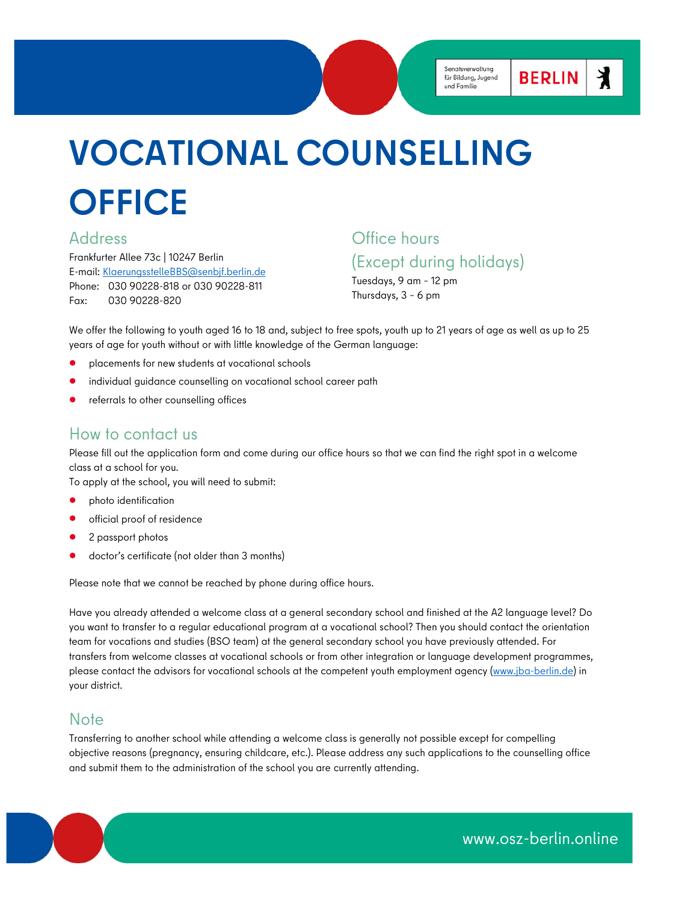丬

**BERLIN** 

# **VOCATIONAL COUNSELLING OFFICE**

### Address

Frankfurter Allee 73c | 10247 Berlin E-mail: [KlaerungsstelleBBS@senbjf.berlin.de](mailto:KlaerungsstelleBBS@senbjf.berlin.de) Phone: 030 90228-818 or 030 90228-811 Fax: 030 90228-820

## Office hours (Except during holidays)

Tuesdays, 9 am – 12 pm Thursdays, 3 – 6 pm

We offer the following to youth aged 16 to 18 and, subject to free spots, youth up to 21 years of age as well as up to 25 years of age for youth without or with little knowledge of the German language:

- placements for new students at vocational schools
- individual guidance counselling on vocational school career path
- referrals to other counselling offices

### How to contact us

Please fill out the application form and come during our office hours so that we can find the right spot in a welcome class at a school for you.

To apply at the school, you will need to submit:

- photo identification
- official proof of residence
- 2 passport photos
- doctor's certificate (not older than 3 months)

Please note that we cannot be reached by phone during office hours.

Have you already attended a welcome class at a general secondary school and finished at the A2 language level? Do you want to transfer to a regular educational program at a vocational school? Then you should contact the orientation team for vocations and studies (BSO team) at the general secondary school you have previously attended. For transfers from welcome classes at vocational schools or from other integration or language development programmes, please contact the advisors for vocational schools at the competent youth employment agency [\(www.jba-berlin.de\)](https://www.jba-berlin.de/home) in your district.

### **Note**

Transferring to another school while attending a welcome class is generally not possible except for compelling objective reasons (pregnancy, ensuring childcare, etc.). Please address any such applications to the counselling office and submit them to the administration of the school you are currently attending.